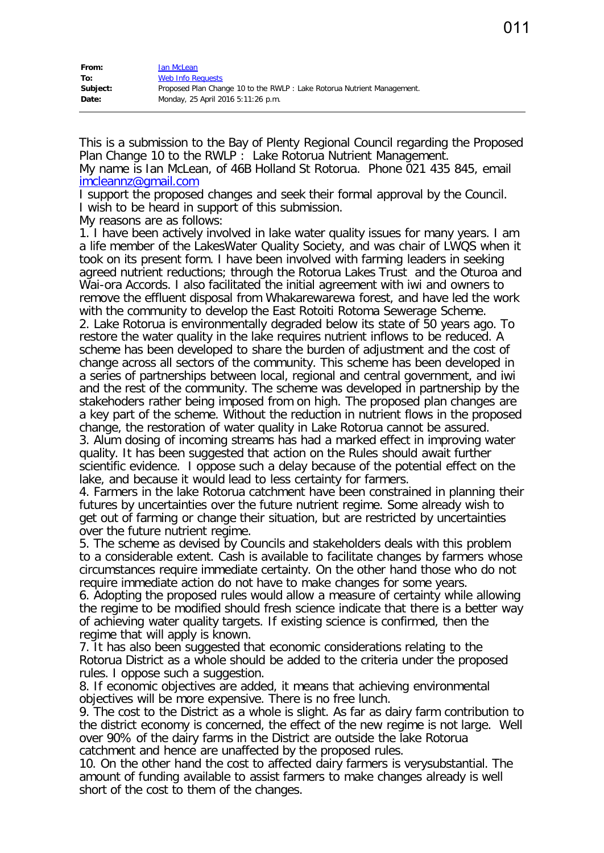| From:    | lan McLean                                                              |
|----------|-------------------------------------------------------------------------|
| To:      | <b>Web Info Requests</b>                                                |
| Subject: | Proposed Plan Change 10 to the RWLP : Lake Rotorua Nutrient Management. |
| Date:    | Monday, 25 April 2016 5:11:26 p.m.                                      |

This is a submission to the Bay of Plenty Regional Council regarding the Proposed Plan Change 10 to the RWLP : Lake Rotorua Nutrient Management. My name is Ian McLean, of 46B Holland St Rotorua. Phone 021 435 845, email [imcleannz@gmail.com](mailto:imcleannz@gmail.com)

I support the proposed changes and seek their formal approval by the Council. I wish to be heard in support of this submission.

My reasons are as follows:

1. I have been actively involved in lake water quality issues for many years. I am a life member of the LakesWater Quality Society, and was chair of LWQS when it took on its present form. I have been involved with farming leaders in seeking agreed nutrient reductions; through the Rotorua Lakes Trust and the Oturoa and Wai-ora Accords. I also facilitated the initial agreement with iwi and owners to remove the effluent disposal from Whakarewarewa forest, and have led the work with the community to develop the East Rotoiti Rotoma Sewerage Scheme.

2. Lake Rotorua is environmentally degraded below its state of 50 years ago. To restore the water quality in the lake requires nutrient inflows to be reduced. A scheme has been developed to share the burden of adjustment and the cost of change across all sectors of the community. This scheme has been developed in a series of partnerships between local, regional and central government, and iwi and the rest of the community. The scheme was developed in partnership by the stakehoders rather being imposed from on high. The proposed plan changes are a key part of the scheme. Without the reduction in nutrient flows in the proposed change, the restoration of water quality in Lake Rotorua cannot be assured. 3. Alum dosing of incoming streams has had a marked effect in improving water quality. It has been suggested that action on the Rules should await further

scientific evidence. I oppose such a delay because of the potential effect on the lake, and because it would lead to less certainty for farmers.

4. Farmers in the lake Rotorua catchment have been constrained in planning their futures by uncertainties over the future nutrient regime. Some already wish to get out of farming or change their situation, but are restricted by uncertainties over the future nutrient regime.

5. The scheme as devised by Councils and stakeholders deals with this problem to a considerable extent. Cash is available to facilitate changes by farmers whose circumstances require immediate certainty. On the other hand those who do not require immediate action do not have to make changes for some years.

6. Adopting the proposed rules would allow a measure of certainty while allowing the regime to be modified should fresh science indicate that there is a better way of achieving water quality targets. If existing science is confirmed, then the regime that will apply is known.

7. It has also been suggested that economic considerations relating to the Rotorua District as a whole should be added to the criteria under the proposed rules. I oppose such a suggestion.

8. If economic objectives are added, it means that achieving environmental objectives will be more expensive. There is no free lunch.

9. The cost to the District as a whole is slight. As far as dairy farm contribution to the district economy is concerned, the effect of the new regime is not large. Well over 90% of the dairy farms in the District are outside the lake Rotorua catchment and hence are unaffected by the proposed rules.

10. On the other hand the cost to affected dairy farmers is verysubstantial. The amount of funding available to assist farmers to make changes already is well short of the cost to them of the changes.